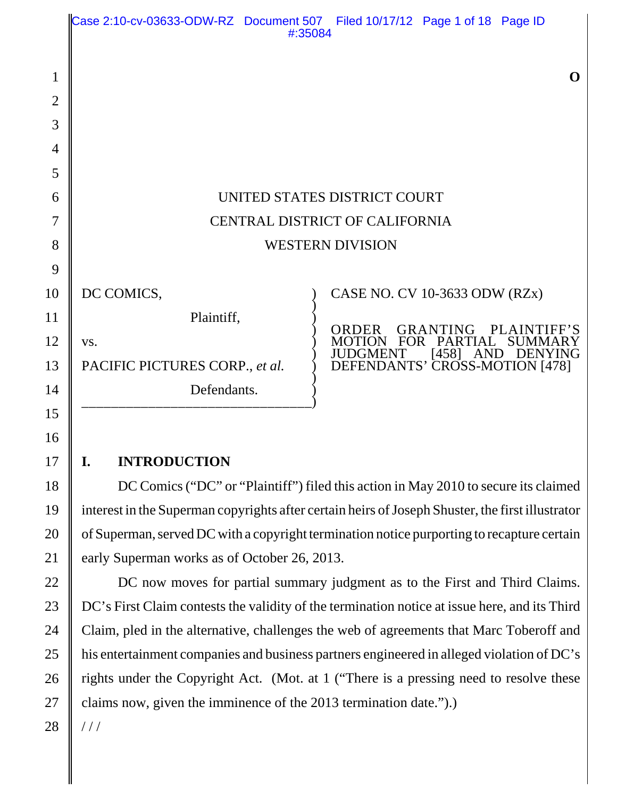|                                       | Case 2:10-cv-03633-ODW-RZ Document 507 Filed 10/17/12 Page 1 of 18 Page ID<br>#:35084     |                                                                                                                                                                                         |
|---------------------------------------|-------------------------------------------------------------------------------------------|-----------------------------------------------------------------------------------------------------------------------------------------------------------------------------------------|
| $\mathbf{1}$<br>$\overline{2}$<br>3   |                                                                                           | $\Omega$                                                                                                                                                                                |
| $\overline{4}$<br>5                   |                                                                                           |                                                                                                                                                                                         |
| 6<br>$\overline{7}$<br>8              | UNITED STATES DISTRICT COURT<br>CENTRAL DISTRICT OF CALIFORNIA<br><b>WESTERN DIVISION</b> |                                                                                                                                                                                         |
| 9<br>10<br>11<br>12<br>13<br>14<br>15 | DC COMICS,<br>Plaintiff,<br>VS.<br>PACIFIC PICTURES CORP., et al.<br>Defendants.          | CASE NO. CV 10-3633 ODW (RZx)<br><b>ORDER</b><br>GRANTING PLAINTIFF'S<br>FOR PARTIAL<br><b>SUMMARY</b><br><b>MOTION</b><br>JUDGMENT [458] AND DENYING<br>DEFENDANTS' CROSS-MOTION [478] |
| 16                                    |                                                                                           |                                                                                                                                                                                         |

# **I. INTRODUCTION**

DC Comics ("DC" or "Plaintiff") filed this action in May 2010 to secure its claimed interest in the Superman copyrights after certain heirs of Joseph Shuster, the first illustrator of Superman, served DC with a copyright termination notice purporting to recapture certain early Superman works as of October 26, 2013.

DC now moves for partial summary judgment as to the First and Third Claims. DC's First Claim contests the validity of the termination notice at issue here, and its Third Claim, pled in the alternative, challenges the web of agreements that Marc Toberoff and his entertainment companies and business partners engineered in alleged violation of DC's rights under the Copyright Act. (Mot. at 1 ("There is a pressing need to resolve these claims now, given the imminence of the 2013 termination date.").)

28 / / /

17

18

19

20

21

22

23

24

25

26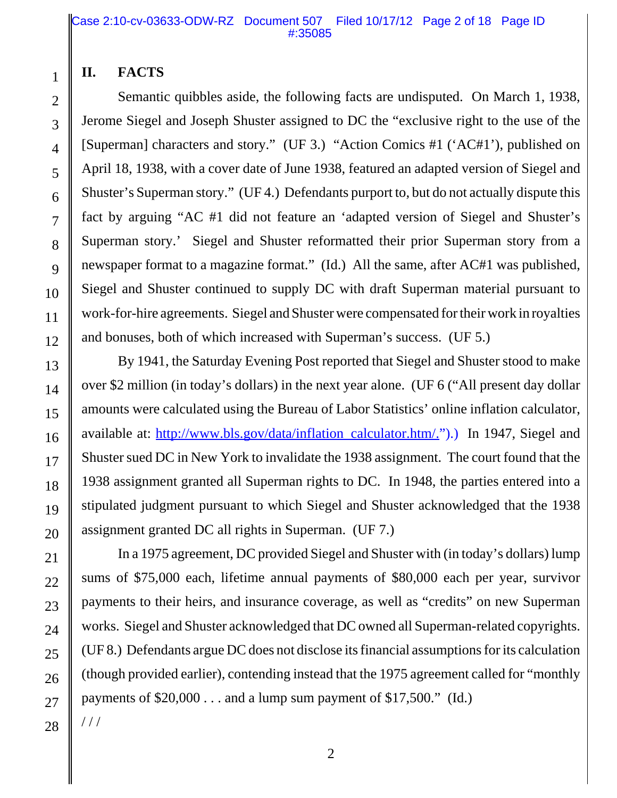# **II. FACTS**

1

2

3

4

5

6

7

8

9

10

11

12

13

14

15

16

17

18

19

20

21

22

23

 Semantic quibbles aside, the following facts are undisputed. On March 1, 1938, Jerome Siegel and Joseph Shuster assigned to DC the "exclusive right to the use of the [Superman] characters and story." (UF 3.) "Action Comics #1 ('AC#1'), published on April 18, 1938, with a cover date of June 1938, featured an adapted version of Siegel and Shuster's Superman story." (UF 4.) Defendants purport to, but do not actually dispute this fact by arguing "AC #1 did not feature an 'adapted version of Siegel and Shuster's Superman story.' Siegel and Shuster reformatted their prior Superman story from a newspaper format to a magazine format." (Id.) All the same, after AC#1 was published, Siegel and Shuster continued to supply DC with draft Superman material pursuant to work-for-hire agreements. Siegel and Shuster were compensated for their work in royalties and bonuses, both of which increased with Superman's success. (UF 5.)

By 1941, the Saturday Evening Post reported that Siegel and Shuster stood to make over \$2 million (in today's dollars) in the next year alone. (UF 6 ("All present day dollar amounts were calculated using the Bureau of Labor Statistics' online inflation calculator, available at: http://www.bls.gov/data/inflation\_calculator.htm/.").) In 1947, Siegel and Shuster sued DC in New York to invalidate the 1938 assignment. The court found that the 1938 assignment granted all Superman rights to DC. In 1948, the parties entered into a stipulated judgment pursuant to which Siegel and Shuster acknowledged that the 1938 assignment granted DC all rights in Superman. (UF 7.)

In a 1975 agreement, DC provided Siegel and Shuster with (in today's dollars) lump sums of \$75,000 each, lifetime annual payments of \$80,000 each per year, survivor payments to their heirs, and insurance coverage, as well as "credits" on new Superman works. Siegel and Shuster acknowledged that DC owned all Superman-related copyrights. (UF 8.) Defendants argue DC does not disclose its financial assumptions for its calculation (though provided earlier), contending instead that the 1975 agreement called for "monthly payments of  $$20,000...$  and a lump sum payment of  $$17,500."$  (Id.)

28 / / /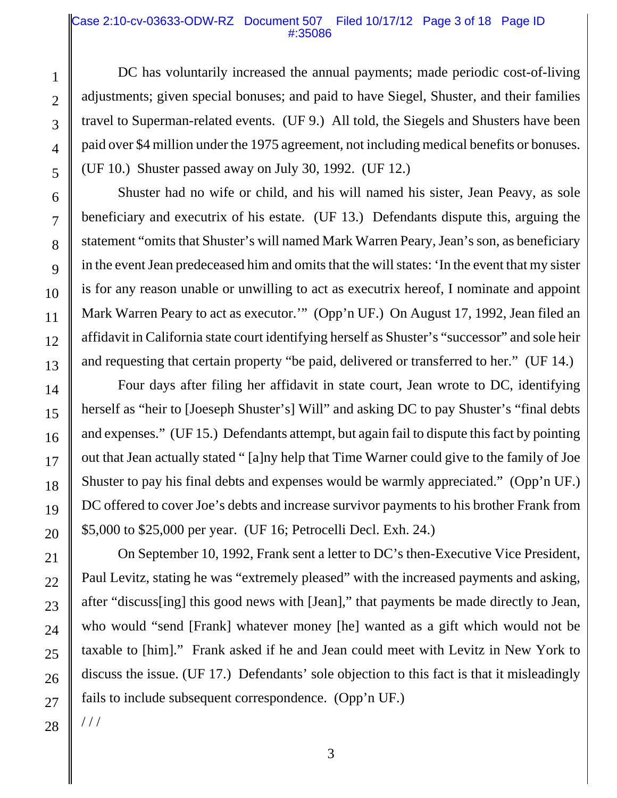## Case 2:10-cv-03633-ODW-RZ Document 507 Filed 10/17/12 Page 3 of 18 Page ID #:35086

DC has voluntarily increased the annual payments; made periodic cost-of-living adjustments; given special bonuses; and paid to have Siegel, Shuster, and their families travel to Superman-related events. (UF 9.) All told, the Siegels and Shusters have been paid over \$4 million under the 1975 agreement, not including medical benefits or bonuses. (UF 10.) Shuster passed away on July 30, 1992. (UF 12.)

Shuster had no wife or child, and his will named his sister, Jean Peavy, as sole beneficiary and executrix of his estate. (UF 13.) Defendants dispute this, arguing the statement "omits that Shuster's will named Mark Warren Peary, Jean's son, as beneficiary in the event Jean predeceased him and omits that the will states: 'In the event that my sister is for any reason unable or unwilling to act as executrix hereof, I nominate and appoint Mark Warren Peary to act as executor.'" (Opp'n UF.) On August 17, 1992, Jean filed an affidavit in California state court identifying herself as Shuster's "successor" and sole heir and requesting that certain property "be paid, delivered or transferred to her." (UF 14.)

Four days after filing her affidavit in state court, Jean wrote to DC, identifying herself as "heir to [Joeseph Shuster's] Will" and asking DC to pay Shuster's "final debts and expenses." (UF 15.) Defendants attempt, but again fail to dispute this fact by pointing out that Jean actually stated " [a]ny help that Time Warner could give to the family of Joe Shuster to pay his final debts and expenses would be warmly appreciated." (Opp'n UF.) DC offered to cover Joe's debts and increase survivor payments to his brother Frank from \$5,000 to \$25,000 per year. (UF 16; Petrocelli Decl. Exh. 24.)

On September 10, 1992, Frank sent a letter to DC's then-Executive Vice President, Paul Levitz, stating he was "extremely pleased" with the increased payments and asking, after "discuss[ing] this good news with [Jean]," that payments be made directly to Jean, who would "send [Frank] whatever money [he] wanted as a gift which would not be taxable to [him]." Frank asked if he and Jean could meet with Levitz in New York to discuss the issue. (UF 17.) Defendants' sole objection to this fact is that it misleadingly fails to include subsequent correspondence. (Opp'n UF.)

/ / /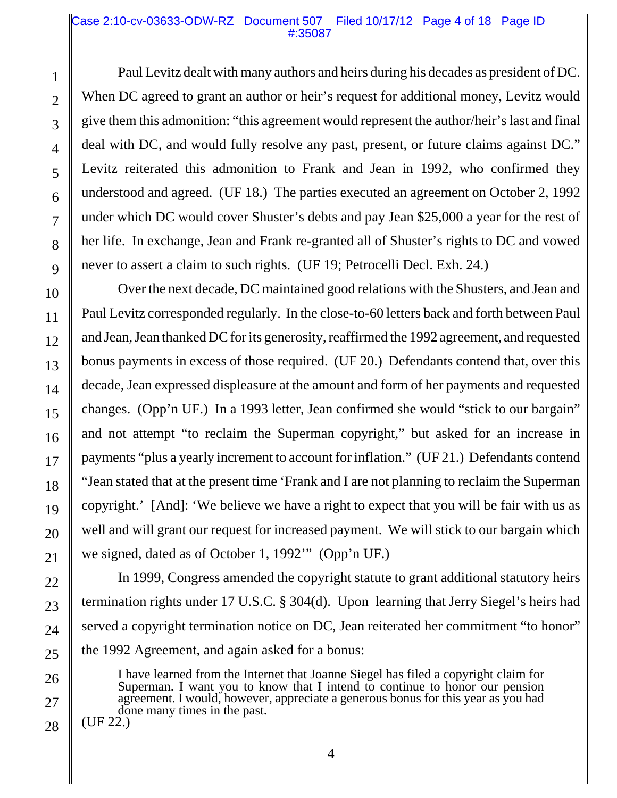## Case 2:10-cv-03633-ODW-RZ Document 507 Filed 10/17/12 Page 4 of 18 Page ID #:35087

Paul Levitz dealt with many authors and heirs during his decades as president of DC. When DC agreed to grant an author or heir's request for additional money, Levitz would give them this admonition: "this agreement would represent the author/heir's last and final deal with DC, and would fully resolve any past, present, or future claims against DC." Levitz reiterated this admonition to Frank and Jean in 1992, who confirmed they understood and agreed. (UF 18.) The parties executed an agreement on October 2, 1992 under which DC would cover Shuster's debts and pay Jean \$25,000 a year for the rest of her life. In exchange, Jean and Frank re-granted all of Shuster's rights to DC and vowed never to assert a claim to such rights. (UF 19; Petrocelli Decl. Exh. 24.)

Over the next decade, DC maintained good relations with the Shusters, and Jean and Paul Levitz corresponded regularly. In the close-to-60 letters back and forth between Paul and Jean, Jean thanked DC for its generosity, reaffirmed the 1992 agreement, and requested bonus payments in excess of those required. (UF 20.) Defendants contend that, over this decade, Jean expressed displeasure at the amount and form of her payments and requested changes. (Opp'n UF.) In a 1993 letter, Jean confirmed she would "stick to our bargain" and not attempt "to reclaim the Superman copyright," but asked for an increase in payments "plus a yearly increment to account for inflation." (UF 21.) Defendants contend "Jean stated that at the present time 'Frank and I are not planning to reclaim the Superman copyright.' [And]: 'We believe we have a right to expect that you will be fair with us as well and will grant our request for increased payment. We will stick to our bargain which we signed, dated as of October 1, 1992'" (Opp'n UF.)

In 1999, Congress amended the copyright statute to grant additional statutory heirs termination rights under 17 U.S.C. § 304(d). Upon learning that Jerry Siegel's heirs had served a copyright termination notice on DC, Jean reiterated her commitment "to honor" the 1992 Agreement, and again asked for a bonus:

I have learned from the Internet that Joanne Siegel has filed a copyright claim for Superman. I want you to know that I intend to continue to honor our pension agreement. I would, however, appreciate a generous bonus for this year as you had done many times in the past.<br>(UF 22.)

28

1

2

3

4

5

6

7

8

9

10

11

12

13

14

15

16

17

18

19

20

21

22

23

24

25

26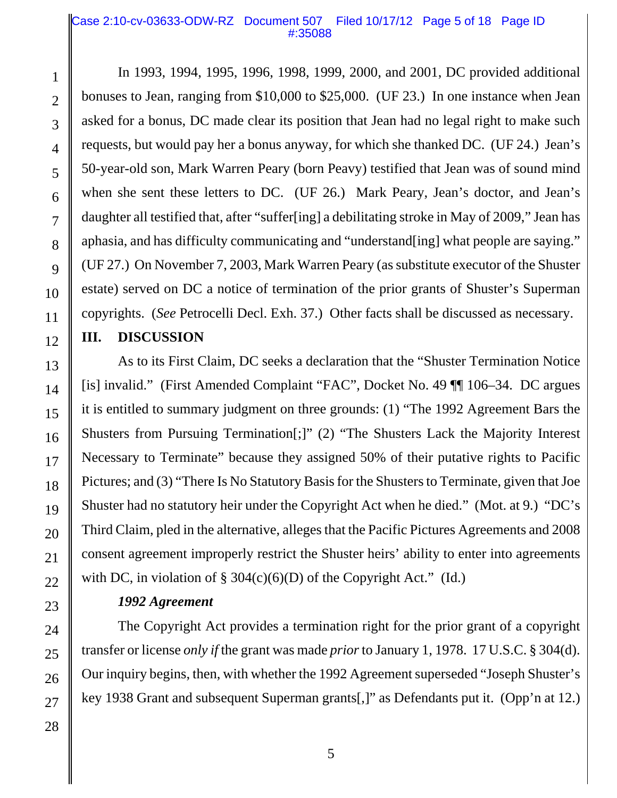## Case 2:10-cv-03633-ODW-RZ Document 507 Filed 10/17/12 Page 5 of 18 Page ID #:35088

In 1993, 1994, 1995, 1996, 1998, 1999, 2000, and 2001, DC provided additional bonuses to Jean, ranging from \$10,000 to \$25,000. (UF 23.) In one instance when Jean asked for a bonus, DC made clear its position that Jean had no legal right to make such requests, but would pay her a bonus anyway, for which she thanked DC. (UF 24.) Jean's 50-year-old son, Mark Warren Peary (born Peavy) testified that Jean was of sound mind when she sent these letters to DC. (UF 26.) Mark Peary, Jean's doctor, and Jean's daughter all testified that, after "suffer[ing] a debilitating stroke in May of 2009," Jean has aphasia, and has difficulty communicating and "understand[ing] what people are saying." (UF 27.) On November 7, 2003, Mark Warren Peary (as substitute executor of the Shuster estate) served on DC a notice of termination of the prior grants of Shuster's Superman copyrights. (*See* Petrocelli Decl. Exh. 37.) Other facts shall be discussed as necessary.

# **III. DISCUSSION**

As to its First Claim, DC seeks a declaration that the "Shuster Termination Notice [is] invalid." (First Amended Complaint "FAC", Docket No. 49 ¶¶ 106–34. DC argues it is entitled to summary judgment on three grounds: (1) "The 1992 Agreement Bars the Shusters from Pursuing Termination[;]" (2) "The Shusters Lack the Majority Interest Necessary to Terminate" because they assigned 50% of their putative rights to Pacific Pictures; and (3) "There Is No Statutory Basis for the Shusters to Terminate, given that Joe Shuster had no statutory heir under the Copyright Act when he died." (Mot. at 9.) "DC's Third Claim, pled in the alternative, alleges that the Pacific Pictures Agreements and 2008 consent agreement improperly restrict the Shuster heirs' ability to enter into agreements with DC, in violation of  $\S 304(c)(6)(D)$  of the Copyright Act." (Id.)

# *1992 Agreement*

The Copyright Act provides a termination right for the prior grant of a copyright transfer or license *only if* the grant was made *prior* to January 1, 1978. 17 U.S.C. § 304(d). Our inquiry begins, then, with whether the 1992 Agreement superseded "Joseph Shuster's key 1938 Grant and subsequent Superman grants[,]" as Defendants put it. (Opp'n at 12.)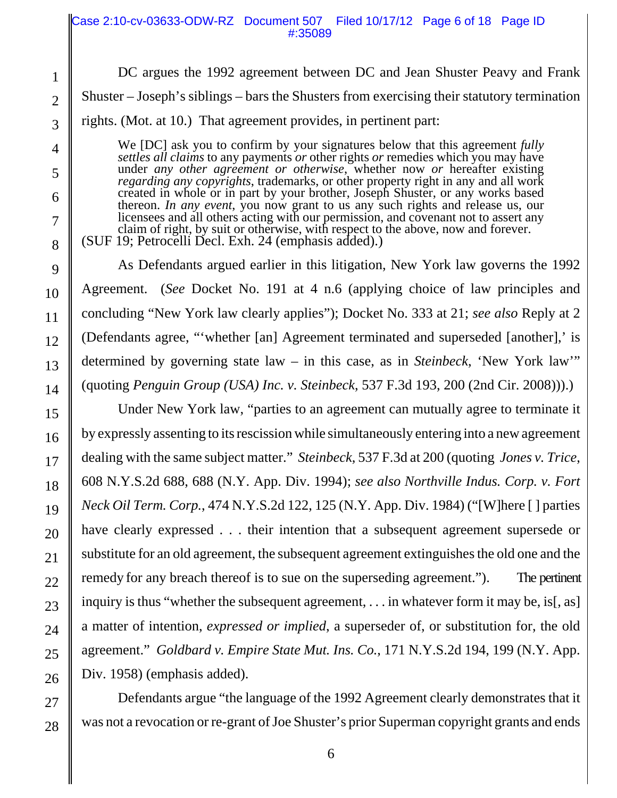|                | Case 2:10-cv-03633-ODW-RZ Document 507 Filed 10/17/12 Page 6 of 18 Page ID<br>#:35089                                                                                                                                                                      |  |
|----------------|------------------------------------------------------------------------------------------------------------------------------------------------------------------------------------------------------------------------------------------------------------|--|
| 1              | DC argues the 1992 agreement between DC and Jean Shuster Peavy and Frank                                                                                                                                                                                   |  |
| $\overline{2}$ | Shuster – Joseph's siblings – bars the Shusters from exercising their statutory termination                                                                                                                                                                |  |
| 3              | rights. (Mot. at 10.) That agreement provides, in pertinent part:                                                                                                                                                                                          |  |
| $\overline{4}$ | We [DC] ask you to confirm by your signatures below that this agreement fully                                                                                                                                                                              |  |
| 5              | <i>settles all claims</i> to any payments <i>or</i> other rights <i>or</i> remedies which you may have<br>under any other agreement or otherwise, whether now or hereafter existing                                                                        |  |
| 6              | <i>regarding any copyrights, trademarks, or other property right in any and all work</i><br>created in whole or in part by your brother, Joseph Shuster, or any works based                                                                                |  |
| $\overline{7}$ | thereon. In any event, you now grant to us any such rights and release us, our<br>licensees and all others acting with our permission, and covenant not to assert any<br>claim of right, by suit or otherwise, with respect to the above, now and forever. |  |
| 8              | (SUF 19; Petrocelli Decl. Exh. 24 (emphasis added).)                                                                                                                                                                                                       |  |
| 9              | As Defendants argued earlier in this litigation, New York law governs the 1992                                                                                                                                                                             |  |
| 10             | Agreement. (See Docket No. 191 at 4 n.6 (applying choice of law principles and                                                                                                                                                                             |  |
| 11             | concluding "New York law clearly applies"); Docket No. 333 at 21; see also Reply at 2                                                                                                                                                                      |  |
| 12             | (Defendants agree, "'whether [an] Agreement terminated and superseded [another],' is                                                                                                                                                                       |  |
| 13             | determined by governing state law – in this case, as in <i>Steinbeck</i> , 'New York law'"                                                                                                                                                                 |  |
| 14             | (quoting <i>Penguin Group (USA) Inc. v. Steinbeck</i> , 537 F.3d 193, 200 (2nd Cir. 2008))).                                                                                                                                                               |  |
| 15             | Under New York law, "parties to an agreement can mutually agree to terminate it                                                                                                                                                                            |  |
| 16             | by expressly assenting to its rescission while simultaneously entering into a new agreement                                                                                                                                                                |  |
| 17             | dealing with the same subject matter." Steinbeck, 537 F.3d at 200 (quoting <i>Jones v. Trice</i> ,                                                                                                                                                         |  |
| 18             | 608 N.Y.S.2d 688, 688 (N.Y. App. Div. 1994); see also Northville Indus. Corp. v. Fort                                                                                                                                                                      |  |
| 19             | <i>Neck Oil Term. Corp.</i> , 474 N.Y.S.2d 122, 125 (N.Y. App. Div. 1984) ("[W]here [] parties                                                                                                                                                             |  |
| 20             | have clearly expressed their intention that a subsequent agreement supersede or                                                                                                                                                                            |  |
| 21             | substitute for an old agreement, the subsequent agreement extinguishes the old one and the                                                                                                                                                                 |  |
| 22             | remedy for any breach thereof is to sue on the superseding agreement.").<br>The pertinent                                                                                                                                                                  |  |
| 23             | inquiry is thus "whether the subsequent agreement, $\dots$ in whatever form it may be, is[, as]                                                                                                                                                            |  |
| 24             | a matter of intention, expressed or implied, a superseder of, or substitution for, the old                                                                                                                                                                 |  |
| 25             | agreement." Goldbard v. Empire State Mut. Ins. Co., 171 N.Y.S.2d 194, 199 (N.Y. App.                                                                                                                                                                       |  |
| 26             | Div. 1958) (emphasis added).                                                                                                                                                                                                                               |  |
| 27             | Defendants argue "the language of the 1992 Agreement clearly demonstrates that it                                                                                                                                                                          |  |
| 28             | was not a revocation or re-grant of Joe Shuster's prior Superman copyright grants and ends                                                                                                                                                                 |  |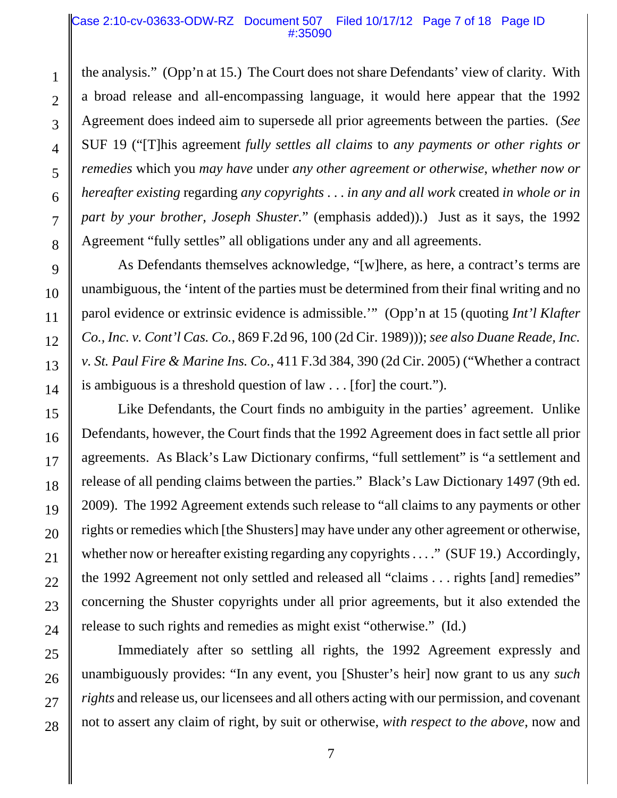## Case 2:10-cv-03633-ODW-RZ Document 507 Filed 10/17/12 Page 7 of 18 Page ID #:35090

the analysis." (Opp'n at 15.) The Court does not share Defendants' view of clarity. With a broad release and all-encompassing language, it would here appear that the 1992 Agreement does indeed aim to supersede all prior agreements between the parties. (*See* SUF 19 ("[T]his agreement *fully settles all claims* to *any payments or other rights or remedies* which you *may have* under *any other agreement or otherwise*, *whether now or hereafter existing* regarding *any copyrights* . . . *in any and all work* created *in whole or in part by your brother, Joseph Shuster.*" (emphasis added)).) Just as it says, the 1992 Agreement "fully settles" all obligations under any and all agreements.

As Defendants themselves acknowledge, "[w]here, as here, a contract's terms are unambiguous, the 'intent of the parties must be determined from their final writing and no parol evidence or extrinsic evidence is admissible.'" (Opp'n at 15 (quoting *Int'l Klafter Co., Inc. v. Cont'l Cas. Co.*, 869 F.2d 96, 100 (2d Cir. 1989))); *see also Duane Reade, Inc. v. St. Paul Fire & Marine Ins. Co.*, 411 F.3d 384, 390 (2d Cir. 2005) ("Whether a contract is ambiguous is a threshold question of law . . . [for] the court.").

Like Defendants, the Court finds no ambiguity in the parties' agreement. Unlike Defendants, however, the Court finds that the 1992 Agreement does in fact settle all prior agreements. As Black's Law Dictionary confirms, "full settlement" is "a settlement and release of all pending claims between the parties." Black's Law Dictionary 1497 (9th ed. 2009). The 1992 Agreement extends such release to "all claims to any payments or other rights or remedies which [the Shusters] may have under any other agreement or otherwise, whether now or hereafter existing regarding any copyrights . . . ." (SUF 19.) Accordingly, the 1992 Agreement not only settled and released all "claims . . . rights [and] remedies" concerning the Shuster copyrights under all prior agreements, but it also extended the release to such rights and remedies as might exist "otherwise." (Id.)

Immediately after so settling all rights, the 1992 Agreement expressly and unambiguously provides: "In any event, you [Shuster's heir] now grant to us any *such rights* and release us, our licensees and all others acting with our permission, and covenant not to assert any claim of right, by suit or otherwise, *with respect to the above*, now and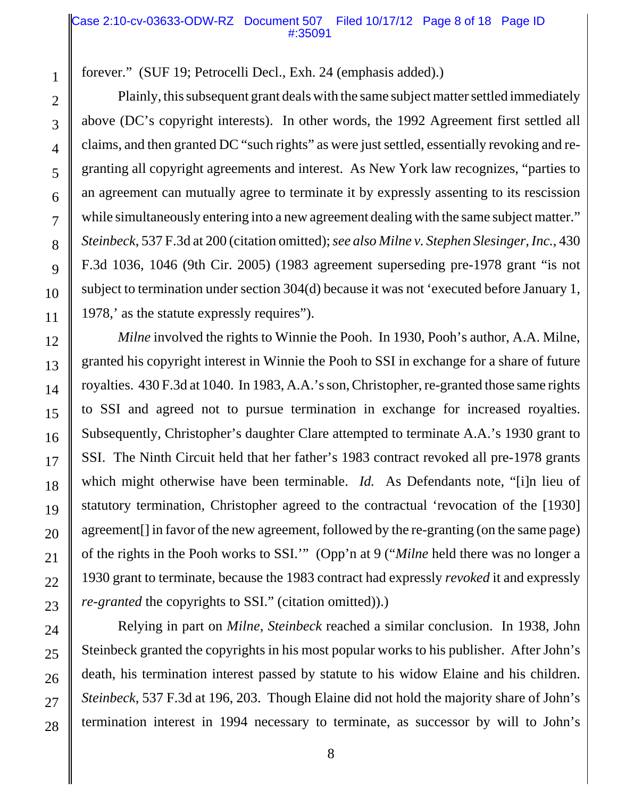## Case 2:10-cv-03633-ODW-RZ Document 507 Filed 10/17/12 Page 8 of 18 Page ID #:35091

forever." (SUF 19; Petrocelli Decl., Exh. 24 (emphasis added).)

Plainly, this subsequent grant deals with the same subject matter settled immediately above (DC's copyright interests). In other words, the 1992 Agreement first settled all claims, and then granted DC "such rights" as were just settled, essentially revoking and regranting all copyright agreements and interest. As New York law recognizes, "parties to an agreement can mutually agree to terminate it by expressly assenting to its rescission while simultaneously entering into a new agreement dealing with the same subject matter." *Steinbeck*, 537 F.3d at 200 (citation omitted); *see also Milne v. Stephen Slesinger, Inc.*, 430 F.3d 1036, 1046 (9th Cir. 2005) (1983 agreement superseding pre-1978 grant "is not subject to termination under section 304(d) because it was not 'executed before January 1, 1978,' as the statute expressly requires").

*Milne* involved the rights to Winnie the Pooh. In 1930, Pooh's author, A.A. Milne, granted his copyright interest in Winnie the Pooh to SSI in exchange for a share of future royalties. 430 F.3d at 1040. In 1983, A.A.'s son, Christopher, re-granted those same rights to SSI and agreed not to pursue termination in exchange for increased royalties. Subsequently, Christopher's daughter Clare attempted to terminate A.A.'s 1930 grant to SSI. The Ninth Circuit held that her father's 1983 contract revoked all pre-1978 grants which might otherwise have been terminable. *Id.* As Defendants note, "[i]n lieu of statutory termination, Christopher agreed to the contractual 'revocation of the [1930] agreement[] in favor of the new agreement, followed by the re-granting (on the same page) of the rights in the Pooh works to SSI.'" (Opp'n at 9 ("*Milne* held there was no longer a 1930 grant to terminate, because the 1983 contract had expressly *revoked* it and expressly *re-granted* the copyrights to SSI." (citation omitted)).)

Relying in part on *Milne*, *Steinbeck* reached a similar conclusion. In 1938, John Steinbeck granted the copyrights in his most popular works to his publisher. After John's death, his termination interest passed by statute to his widow Elaine and his children. *Steinbeck*, 537 F.3d at 196, 203. Though Elaine did not hold the majority share of John's termination interest in 1994 necessary to terminate, as successor by will to John's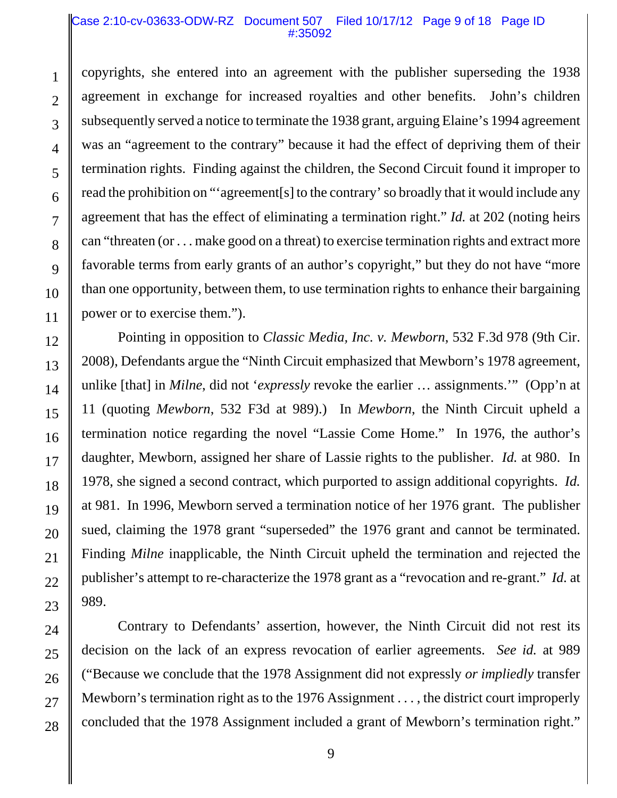#### Case 2:10-cv-03633-ODW-RZ Document 507 Filed 10/17/12 Page 9 of 18 Page ID #:35092

copyrights, she entered into an agreement with the publisher superseding the 1938 agreement in exchange for increased royalties and other benefits. John's children subsequently served a notice to terminate the 1938 grant, arguing Elaine's 1994 agreement was an "agreement to the contrary" because it had the effect of depriving them of their termination rights. Finding against the children, the Second Circuit found it improper to read the prohibition on "'agreement[s] to the contrary' so broadly that it would include any agreement that has the effect of eliminating a termination right." *Id.* at 202 (noting heirs can "threaten (or . . . make good on a threat) to exercise termination rights and extract more favorable terms from early grants of an author's copyright," but they do not have "more than one opportunity, between them, to use termination rights to enhance their bargaining power or to exercise them.").

Pointing in opposition to *Classic Media, Inc. v. Mewborn*, 532 F.3d 978 (9th Cir. 2008), Defendants argue the "Ninth Circuit emphasized that Mewborn's 1978 agreement, unlike [that] in *Milne*, did not '*expressly* revoke the earlier … assignments.'" (Opp'n at 11 (quoting *Mewborn*, 532 F3d at 989).) In *Mewborn*, the Ninth Circuit upheld a termination notice regarding the novel "Lassie Come Home." In 1976, the author's daughter, Mewborn, assigned her share of Lassie rights to the publisher. *Id.* at 980. In 1978, she signed a second contract, which purported to assign additional copyrights. *Id.* at 981. In 1996, Mewborn served a termination notice of her 1976 grant. The publisher sued, claiming the 1978 grant "superseded" the 1976 grant and cannot be terminated. Finding *Milne* inapplicable, the Ninth Circuit upheld the termination and rejected the publisher's attempt to re-characterize the 1978 grant as a "revocation and re-grant." *Id.* at 989.

Contrary to Defendants' assertion, however, the Ninth Circuit did not rest its decision on the lack of an express revocation of earlier agreements. *See id.* at 989 ("Because we conclude that the 1978 Assignment did not expressly *or impliedly* transfer Mewborn's termination right as to the 1976 Assignment . . . , the district court improperly concluded that the 1978 Assignment included a grant of Mewborn's termination right."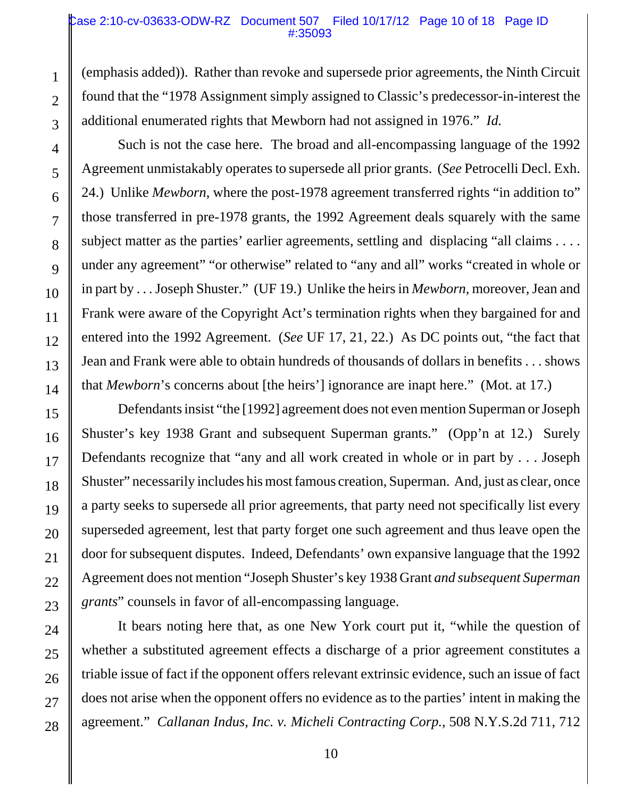### Case 2:10-cv-03633-ODW-RZ Document 507 Filed 10/17/12 Page 10 of 18 Page ID #:35093

(emphasis added)). Rather than revoke and supersede prior agreements, the Ninth Circuit found that the "1978 Assignment simply assigned to Classic's predecessor-in-interest the additional enumerated rights that Mewborn had not assigned in 1976." *Id.*

Such is not the case here. The broad and all-encompassing language of the 1992 Agreement unmistakably operates to supersede all prior grants. (*See* Petrocelli Decl. Exh. 24.) Unlike *Mewborn*, where the post-1978 agreement transferred rights "in addition to" those transferred in pre-1978 grants, the 1992 Agreement deals squarely with the same subject matter as the parties' earlier agreements, settling and displacing "all claims . . . . under any agreement" "or otherwise" related to "any and all" works "created in whole or in part by . . . Joseph Shuster." (UF 19.) Unlike the heirs in *Mewborn*, moreover, Jean and Frank were aware of the Copyright Act's termination rights when they bargained for and entered into the 1992 Agreement. (*See* UF 17, 21, 22.) As DC points out, "the fact that Jean and Frank were able to obtain hundreds of thousands of dollars in benefits . . . shows that *Mewborn*'s concerns about [the heirs'] ignorance are inapt here." (Mot. at 17.)

Defendants insist "the [1992] agreement does not even mention Superman or Joseph Shuster's key 1938 Grant and subsequent Superman grants." (Opp'n at 12.) Surely Defendants recognize that "any and all work created in whole or in part by . . . Joseph Shuster" necessarily includes his most famous creation, Superman. And, just as clear, once a party seeks to supersede all prior agreements, that party need not specifically list every superseded agreement, lest that party forget one such agreement and thus leave open the door for subsequent disputes. Indeed, Defendants' own expansive language that the 1992 Agreement does not mention "Joseph Shuster's key 1938 Grant *and subsequent Superman grants*" counsels in favor of all-encompassing language.

It bears noting here that, as one New York court put it, "while the question of whether a substituted agreement effects a discharge of a prior agreement constitutes a triable issue of fact if the opponent offers relevant extrinsic evidence, such an issue of fact does not arise when the opponent offers no evidence as to the parties' intent in making the agreement." *Callanan Indus, Inc. v. Micheli Contracting Corp.*, 508 N.Y.S.2d 711, 712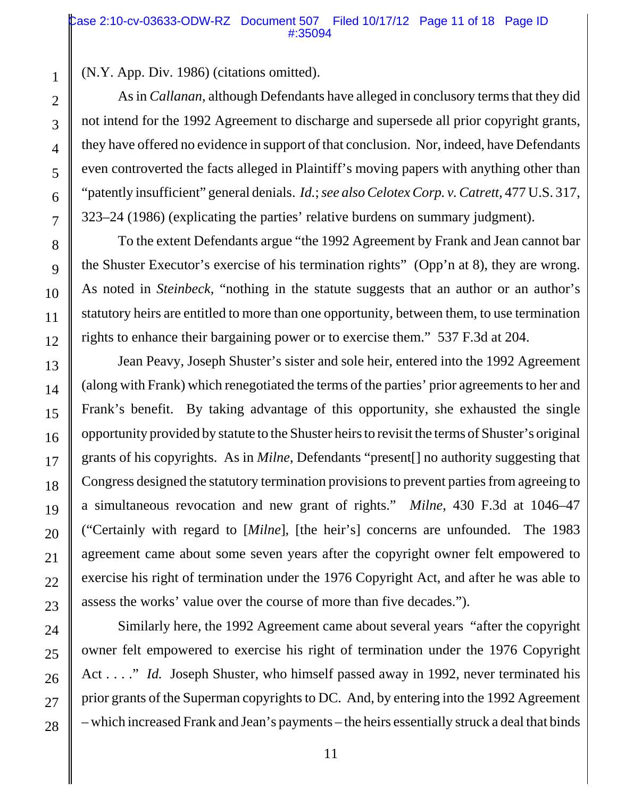(N.Y. App. Div. 1986) (citations omitted).

As in *Callanan*, although Defendants have alleged in conclusory terms that they did not intend for the 1992 Agreement to discharge and supersede all prior copyright grants, they have offered no evidence in support of that conclusion. Nor, indeed, have Defendants even controverted the facts alleged in Plaintiff's moving papers with anything other than "patently insufficient" general denials. *Id.*; *see also Celotex Corp. v. Catrett*, 477 U.S. 317, 323–24 (1986) (explicating the parties' relative burdens on summary judgment).

To the extent Defendants argue "the 1992 Agreement by Frank and Jean cannot bar the Shuster Executor's exercise of his termination rights" (Opp'n at 8), they are wrong. As noted in *Steinbeck*, "nothing in the statute suggests that an author or an author's statutory heirs are entitled to more than one opportunity, between them, to use termination rights to enhance their bargaining power or to exercise them." 537 F.3d at 204.

Jean Peavy, Joseph Shuster's sister and sole heir, entered into the 1992 Agreement (along with Frank) which renegotiated the terms of the parties' prior agreements to her and Frank's benefit. By taking advantage of this opportunity, she exhausted the single opportunity provided by statute to the Shuster heirs to revisit the terms of Shuster's original grants of his copyrights. As in *Milne*, Defendants "present[] no authority suggesting that Congress designed the statutory termination provisions to prevent parties from agreeing to a simultaneous revocation and new grant of rights." *Milne*, 430 F.3d at 1046–47 ("Certainly with regard to [*Milne*], [the heir's] concerns are unfounded. The 1983 agreement came about some seven years after the copyright owner felt empowered to exercise his right of termination under the 1976 Copyright Act, and after he was able to assess the works' value over the course of more than five decades.").

Similarly here, the 1992 Agreement came about several years "after the copyright owner felt empowered to exercise his right of termination under the 1976 Copyright Act . . . ." *Id.* Joseph Shuster, who himself passed away in 1992, never terminated his prior grants of the Superman copyrights to DC. And, by entering into the 1992 Agreement – which increased Frank and Jean's payments – the heirs essentially struck a deal that binds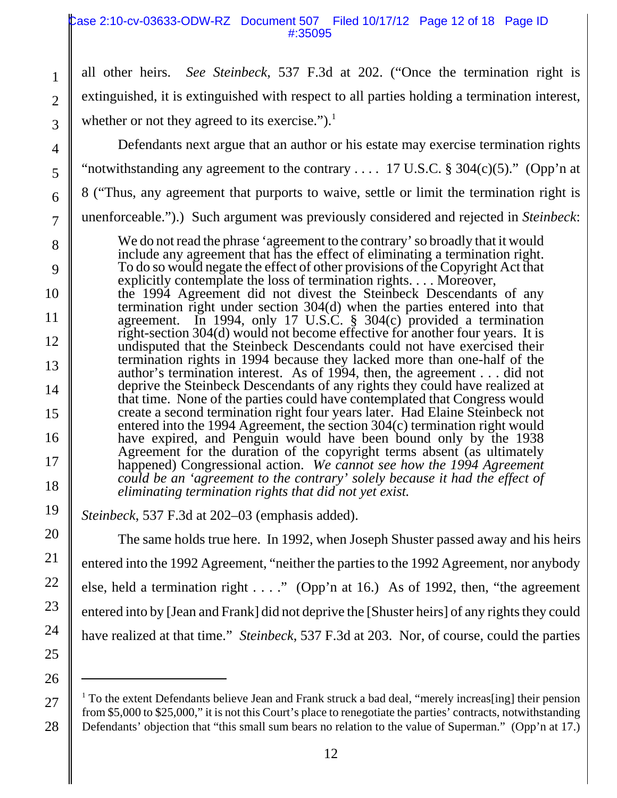## Case 2:10-cv-03633-ODW-RZ Document 507 Filed 10/17/12 Page 12 of 18 Page ID #:35095

all other heirs. *See Steinbeck*, 537 F.3d at 202. ("Once the termination right is extinguished, it is extinguished with respect to all parties holding a termination interest, whether or not they agreed to its exercise." $)$ .<sup>1</sup>

4 5

6

7

1

2

3

Defendants next argue that an author or his estate may exercise termination rights "notwithstanding any agreement to the contrary  $\dots$  17 U.S.C. § 304(c)(5)." (Opp'n at

- 8 ("Thus, any agreement that purports to waive, settle or limit the termination right is
- 
- unenforceable.").) Such argument was previously considered and rejected in *Steinbeck*:
	- We do not read the phrase 'agreement to the contrary' so broadly that it would include any agreement that has the effect of eliminating a termination right. To do so would negate the effect of other provisions of the Copyright Act that explicitly contemplate the loss of termination rights. . . . Moreover,
- the 1994 Agreement did not divest the Steinbeck Descendants of any termination right under section 304(d) when the parties entered into that agreement. In 1994, only 17 U.S.C. § 304(c) provided a termination right-section 304(d) would not become effective for another four years. It is undisputed that the Steinbeck Descendants could not have exercised their termination rights in 1994 because they lacked more than one-half of the author's termination interest. As of 1994, then, the agreement . . . did not deprive the Steinbeck Descendants of any rights they could have realized at that time. None of the parties could have contemplated that Congress would create a second termination right four years later. Had Elaine Steinbeck not entered into the 1994 Agreement, the section 304(c) termination right would have expired, and Penguin would have been bound only by the 1938 Agreement for the duration of the copyright terms absent (as ultimately happened) Congressional action. *We cannot see how the 1994 Agreement could be an 'agreement to the contrary' solely because it had the effect of eliminating termination rights that did not yet exist.*
	- *Steinbeck*, 537 F.3d at 202–03 (emphasis added).

 The same holds true here. In 1992, when Joseph Shuster passed away and his heirs entered into the 1992 Agreement, "neither the parties to the 1992 Agreement, nor anybody

else, held a termination right  $\dots$ ." (Opp'n at 16.) As of 1992, then, "the agreement

entered into by [Jean and Frank] did not deprive the [Shuster heirs] of any rights they could

- have realized at that time." *Steinbeck*, 537 F.3d at 203. Nor, of course, could the parties
- <sup>1</sup> To the extent Defendants believe Jean and Frank struck a bad deal, "merely increas[ing] their pension from \$5,000 to \$25,000," it is not this Court's place to renegotiate the parties' contracts, notwithstanding Defendants' objection that "this small sum bears no relation to the value of Superman." (Opp'n at 17.)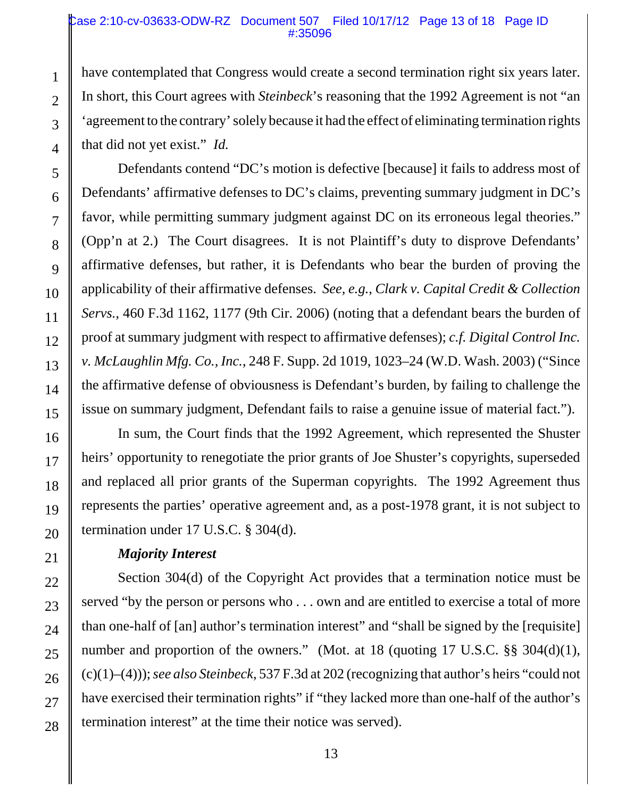## Case 2:10-cv-03633-ODW-RZ Document 507 Filed 10/17/12 Page 13 of 18 Page ID #:35096

have contemplated that Congress would create a second termination right six years later. In short, this Court agrees with *Steinbeck*'s reasoning that the 1992 Agreement is not "an 'agreement to the contrary' solely because it had the effect of eliminating termination rights that did not yet exist." *Id.*

Defendants contend "DC's motion is defective [because] it fails to address most of Defendants' affirmative defenses to DC's claims, preventing summary judgment in DC's favor, while permitting summary judgment against DC on its erroneous legal theories." (Opp'n at 2.) The Court disagrees. It is not Plaintiff's duty to disprove Defendants' affirmative defenses, but rather, it is Defendants who bear the burden of proving the applicability of their affirmative defenses. *See, e.g.*, *Clark v. Capital Credit & Collection Servs.*, 460 F.3d 1162, 1177 (9th Cir. 2006) (noting that a defendant bears the burden of proof at summary judgment with respect to affirmative defenses); *c.f. Digital Control Inc. v. McLaughlin Mfg. Co., Inc.*, 248 F. Supp. 2d 1019, 1023–24 (W.D. Wash. 2003) ("Since the affirmative defense of obviousness is Defendant's burden, by failing to challenge the issue on summary judgment, Defendant fails to raise a genuine issue of material fact.").

In sum, the Court finds that the 1992 Agreement, which represented the Shuster heirs' opportunity to renegotiate the prior grants of Joe Shuster's copyrights, superseded and replaced all prior grants of the Superman copyrights. The 1992 Agreement thus represents the parties' operative agreement and, as a post-1978 grant, it is not subject to termination under 17 U.S.C. § 304(d).

# *Majority Interest*

Section 304(d) of the Copyright Act provides that a termination notice must be served "by the person or persons who . . . own and are entitled to exercise a total of more than one-half of [an] author's termination interest" and "shall be signed by the [requisite] number and proportion of the owners." (Mot. at 18 (quoting 17 U.S.C. §§ 304(d)(1), (c)(1)–(4))); *see also Steinbeck*, 537 F.3d at 202 (recognizing that author's heirs "could not have exercised their termination rights" if "they lacked more than one-half of the author's termination interest" at the time their notice was served).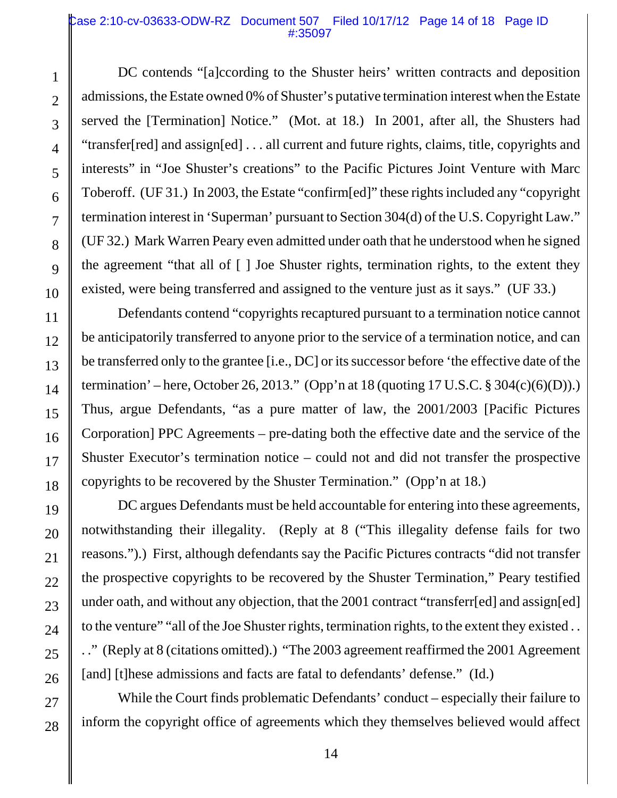## Case 2:10-cv-03633-ODW-RZ Document 507 Filed 10/17/12 Page 14 of 18 Page ID #:35097

DC contends "[a]ccording to the Shuster heirs' written contracts and deposition admissions, the Estate owned 0% of Shuster's putative termination interest when the Estate served the [Termination] Notice." (Mot. at 18.) In 2001, after all, the Shusters had "transfer[red] and assign[ed] . . . all current and future rights, claims, title, copyrights and interests" in "Joe Shuster's creations" to the Pacific Pictures Joint Venture with Marc Toberoff. (UF 31.) In 2003, the Estate "confirm[ed]" these rights included any "copyright termination interest in 'Superman' pursuant to Section 304(d) of the U.S. Copyright Law." (UF 32.) Mark Warren Peary even admitted under oath that he understood when he signed the agreement "that all of [ ] Joe Shuster rights, termination rights, to the extent they existed, were being transferred and assigned to the venture just as it says." (UF 33.)

Defendants contend "copyrights recaptured pursuant to a termination notice cannot be anticipatorily transferred to anyone prior to the service of a termination notice, and can be transferred only to the grantee [i.e., DC] or its successor before 'the effective date of the termination' – here, October 26, 2013." (Opp'n at 18 (quoting 17 U.S.C.  $\S 304(c)(6)(D)$ ).) Thus, argue Defendants, "as a pure matter of law, the 2001/2003 [Pacific Pictures Corporation] PPC Agreements – pre-dating both the effective date and the service of the Shuster Executor's termination notice – could not and did not transfer the prospective copyrights to be recovered by the Shuster Termination." (Opp'n at 18.)

DC argues Defendants must be held accountable for entering into these agreements, notwithstanding their illegality. (Reply at 8 ("This illegality defense fails for two reasons.").) First, although defendants say the Pacific Pictures contracts "did not transfer the prospective copyrights to be recovered by the Shuster Termination," Peary testified under oath, and without any objection, that the 2001 contract "transferr[ed] and assign[ed] to the venture" "all of the Joe Shuster rights, termination rights, to the extent they existed . . . ." (Reply at 8 (citations omitted).) "The 2003 agreement reaffirmed the 2001 Agreement [and] [t]hese admissions and facts are fatal to defendants' defense." (Id.)

While the Court finds problematic Defendants' conduct – especially their failure to inform the copyright office of agreements which they themselves believed would affect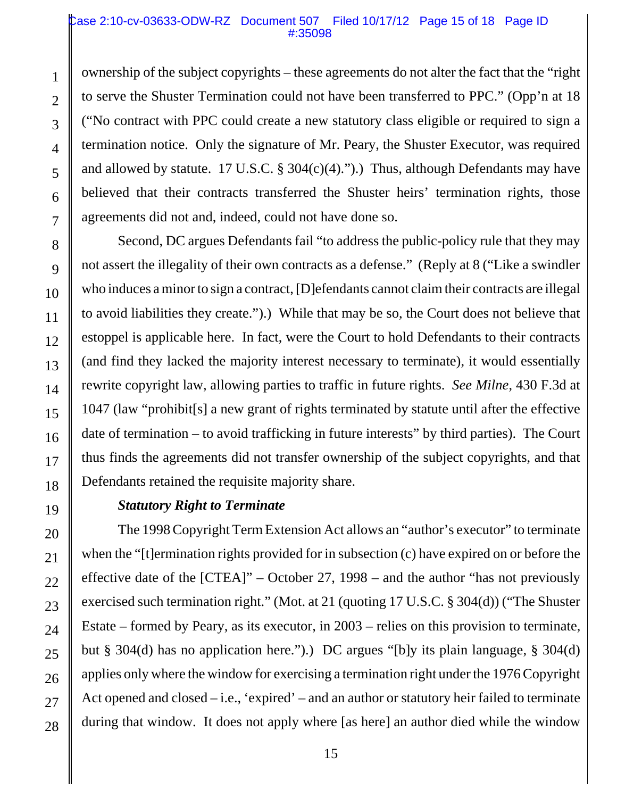## Case 2:10-cv-03633-ODW-RZ Document 507 Filed 10/17/12 Page 15 of 18 Page ID #:35098

ownership of the subject copyrights – these agreements do not alter the fact that the "right to serve the Shuster Termination could not have been transferred to PPC." (Opp'n at 18 ("No contract with PPC could create a new statutory class eligible or required to sign a termination notice. Only the signature of Mr. Peary, the Shuster Executor, was required and allowed by statute. 17 U.S.C.  $\S 304(c)(4)$ .").) Thus, although Defendants may have believed that their contracts transferred the Shuster heirs' termination rights, those agreements did not and, indeed, could not have done so.

Second, DC argues Defendants fail "to address the public-policy rule that they may not assert the illegality of their own contracts as a defense." (Reply at 8 ("Like a swindler who induces a minor to sign a contract, [D]efendants cannot claim their contracts are illegal to avoid liabilities they create.").) While that may be so, the Court does not believe that estoppel is applicable here. In fact, were the Court to hold Defendants to their contracts (and find they lacked the majority interest necessary to terminate), it would essentially rewrite copyright law, allowing parties to traffic in future rights. *See Milne*, 430 F.3d at 1047 (law "prohibit[s] a new grant of rights terminated by statute until after the effective date of termination – to avoid trafficking in future interests" by third parties). The Court thus finds the agreements did not transfer ownership of the subject copyrights, and that Defendants retained the requisite majority share.

# *Statutory Right to Terminate*

The 1998 Copyright Term Extension Act allows an "author's executor" to terminate when the "[t]ermination rights provided for in subsection (c) have expired on or before the effective date of the [CTEA]" – October 27, 1998 – and the author "has not previously exercised such termination right." (Mot. at 21 (quoting 17 U.S.C. § 304(d)) ("The Shuster Estate – formed by Peary, as its executor, in 2003 – relies on this provision to terminate, but § 304(d) has no application here.").) DC argues "[b]y its plain language, § 304(d) applies only where the window for exercising a termination right under the 1976 Copyright Act opened and closed  $-i.e.,$  'expired' – and an author or statutory heir failed to terminate during that window. It does not apply where [as here] an author died while the window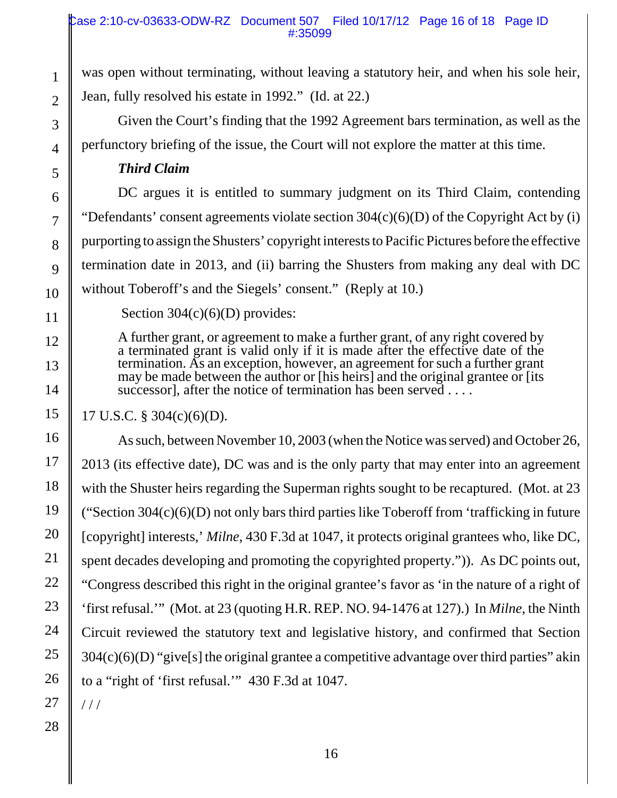was open without terminating, without leaving a statutory heir, and when his sole heir, Jean, fully resolved his estate in 1992." (Id. at 22.)

Given the Court's finding that the 1992 Agreement bars termination, as well as the perfunctory briefing of the issue, the Court will not explore the matter at this time.

# *Third Claim*

DC argues it is entitled to summary judgment on its Third Claim, contending "Defendants' consent agreements violate section  $304(c)(6)(D)$  of the Copyright Act by (i) purporting to assign the Shusters' copyright interests to Pacific Pictures before the effective termination date in 2013, and (ii) barring the Shusters from making any deal with DC without Toberoff's and the Siegels' consent." (Reply at 10.)

1

2

3

4

5

6

7

8

9

10

11

12

13

14

15

16

17

18

19

20

21

22

23

24

25

26

Section  $304(c)(6)(D)$  provides:

A further grant, or agreement to make a further grant, of any right covered by a terminated grant is valid only if it is made after the effective date of the termination. As an exception, however, an agreement for such a further grant may be made between the author or [his heirs] and the original grantee or [its successor], after the notice of termination has been served  $\dots$ 

# 17 U.S.C. § 304(c)(6)(D).

As such, between November 10, 2003 (when the Notice was served) and October 26, 2013 (its effective date), DC was and is the only party that may enter into an agreement with the Shuster heirs regarding the Superman rights sought to be recaptured. (Mot. at 23 ("Section  $304(c)(6)(D)$  not only bars third parties like Toberoff from 'trafficking in future [copyright] interests,' *Milne*, 430 F.3d at 1047, it protects original grantees who, like DC, spent decades developing and promoting the copyrighted property.")). As DC points out, "Congress described this right in the original grantee's favor as 'in the nature of a right of 'first refusal.'" (Mot. at 23 (quoting H.R. REP. NO. 94-1476 at 127).) In *Milne*, the Ninth Circuit reviewed the statutory text and legislative history, and confirmed that Section 304(c)(6)(D) "give[s] the original grantee a competitive advantage over third parties" akin to a "right of 'first refusal.'" 430 F.3d at 1047.

27

 $1/1$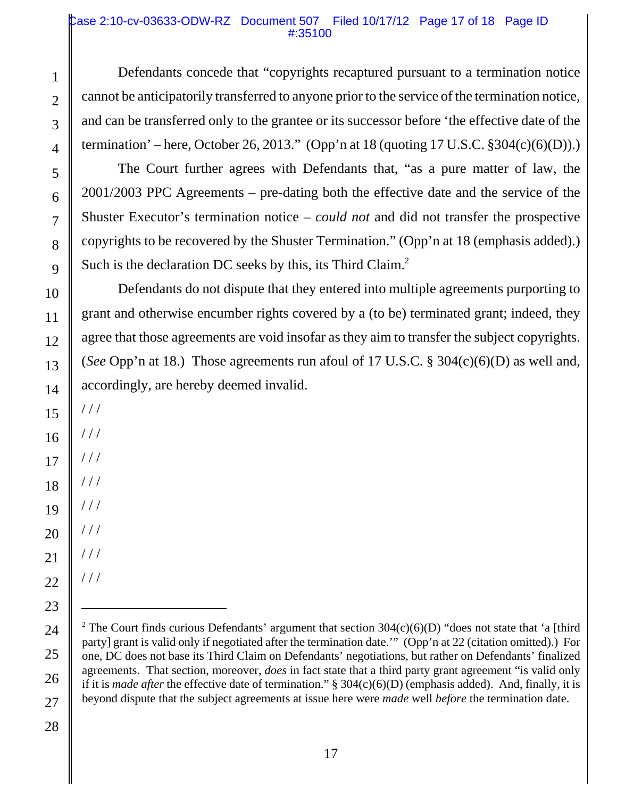# Case 2:10-cv-03633-ODW-RZ Document 507 Filed 10/17/12 Page 17 of 18 Page ID #:35100

Defendants concede that "copyrights recaptured pursuant to a termination notice cannot be anticipatorily transferred to anyone prior to the service of the termination notice, and can be transferred only to the grantee or its successor before 'the effective date of the termination' – here, October 26, 2013." (Opp'n at 18 (quoting  $17 \text{ U.S.C. }$  \$304(c)(6)(D)).)

The Court further agrees with Defendants that, "as a pure matter of law, the 2001/2003 PPC Agreements – pre-dating both the effective date and the service of the Shuster Executor's termination notice – *could not* and did not transfer the prospective copyrights to be recovered by the Shuster Termination." (Opp'n at 18 (emphasis added).) Such is the declaration DC seeks by this, its Third Claim.<sup>2</sup>

Defendants do not dispute that they entered into multiple agreements purporting to grant and otherwise encumber rights covered by a (to be) terminated grant; indeed, they agree that those agreements are void insofar as they aim to transfer the subject copyrights. (*See* Opp'n at 18.) Those agreements run afoul of 17 U.S.C. § 304(c)(6)(D) as well and, accordingly, are hereby deemed invalid.

15 16 17 / / /

/ / /

/ / /

 $//$ 

/ / /

 $//$ 

/ / /

/ / /

1

2

3

4

5

6

7

8

9

10

11

12

13

14

27 28

<sup>&</sup>lt;sup>2</sup> The Court finds curious Defendants' argument that section  $304(c)(6)(D)$  "does not state that 'a [third party] grant is valid only if negotiated after the termination date.'" (Opp'n at 22 (citation omitted).) For one, DC does not base its Third Claim on Defendants' negotiations, but rather on Defendants' finalized agreements. That section, moreover, *does* in fact state that a third party grant agreement "is valid only if it is *made after* the effective date of termination." § 304(c)(6)(D) (emphasis added). And, finally, it is beyond dispute that the subject agreements at issue here were *made* well *before* the termination date.